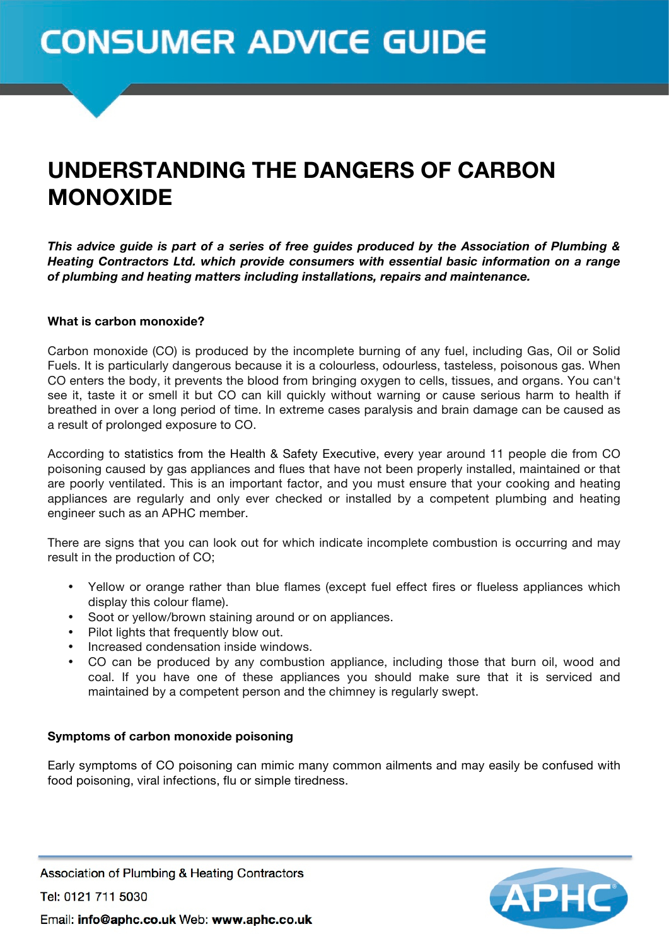# **CONSUMER ADVICE GUIDE**

## UNDERSTANDING THE DANGERS OF CARBON MONOXIDE

*This advice guide is part of a series of free guides produced by the Association of Plumbing & Heating Contractors Ltd. which provide consumers with essential basic information on a range of plumbing and heating matters including installations, repairs and maintenance.*

#### **What is carbon monoxide?**

Carbon monoxide (CO) is produced by the incomplete burning of any fuel, including Gas, Oil or Solid Fuels. It is particularly dangerous because it is a colourless, odourless, tasteless, poisonous gas. When CO enters the body, it prevents the blood from bringing oxygen to cells, tissues, and organs. You can't see it, taste it or smell it but CO can kill quickly without warning or cause serious harm to health if breathed in over a long period of time. In extreme cases paralysis and brain damage can be caused as a result of prolonged exposure to CO.

According to statistics from the Health & Safety Executive, every year around 11 people die from CO poisoning caused by gas appliances and flues that have not been properly installed, maintained or that are poorly ventilated. This is an important factor, and you must ensure that your cooking and heating appliances are regularly and only ever checked or installed by a competent plumbing and heating engineer such as an APHC member.

There are signs that you can look out for which indicate incomplete combustion is occurring and may result in the production of CO;

- Yellow or orange rather than blue flames (except fuel effect fires or flueless appliances which display this colour flame).
- Soot or yellow/brown staining around or on appliances.
- Pilot lights that frequently blow out.
- Increased condensation inside windows.<br>• CO can be produced by any combustic
- CO can be produced by any combustion appliance, including those that burn oil, wood and coal. If you have one of these appliances you should make sure that it is serviced and maintained by a competent person and the chimney is regularly swept.

#### **Symptoms of carbon monoxide poisoning**

Early symptoms of CO poisoning can mimic many common ailments and may easily be confused with food poisoning, viral infections, flu or simple tiredness.



Association of Plumbing & Heating Contractors

Tel: 0121 711 5030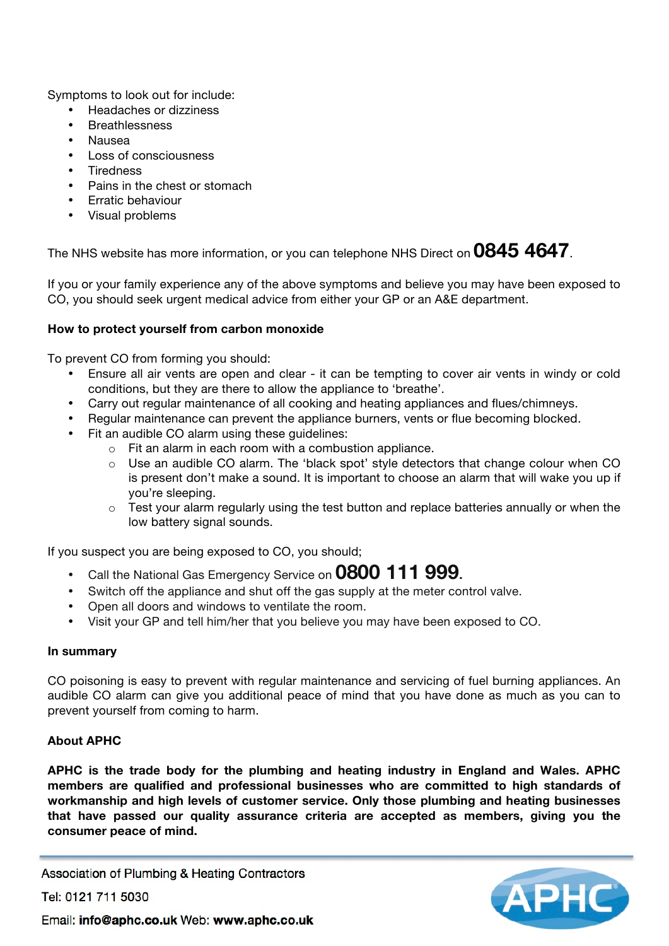Symptoms to look out for include:

- Headaches or dizziness
- **Breathlessness**
- Nausea
- Loss of consciousness
- Tiredness
- Pains in the chest or stomach
- Erratic behaviour
- Visual problems

The NHS website has more information, or you can telephone NHS Direct on **0845 4647**.

If you or your family experience any of the above symptoms and believe you may have been exposed to CO, you should seek urgent medical advice from either your GP or an A&E department.

#### **How to protect yourself from carbon monoxide**

To prevent CO from forming you should:

- Ensure all air vents are open and clear it can be tempting to cover air vents in windy or cold conditions, but they are there to allow the appliance to 'breathe'.
- Carry out regular maintenance of all cooking and heating appliances and flues/chimneys.
- Regular maintenance can prevent the appliance burners, vents or flue becoming blocked.
- Fit an audible CO alarm using these guidelines:
	- o Fit an alarm in each room with a combustion appliance.
	- $\circ$  Use an audible CO alarm. The 'black spot' style detectors that change colour when CO is present don't make a sound. It is important to choose an alarm that will wake you up if you're sleeping.
	- $\circ$  Test your alarm regularly using the test button and replace batteries annually or when the low battery signal sounds.

If you suspect you are being exposed to CO, you should;

- Call the National Gas Emergency Service on **0800 111 999.**
- Switch off the appliance and shut off the gas supply at the meter control valve.
- Open all doors and windows to ventilate the room.
- Visit your GP and tell him/her that you believe you may have been exposed to CO.

#### **In summary**

CO poisoning is easy to prevent with regular maintenance and servicing of fuel burning appliances. An audible CO alarm can give you additional peace of mind that you have done as much as you can to prevent yourself from coming to harm.

#### **About APHC**

**APHC is the trade body for the plumbing and heating industry in England and Wales. APHC members are qualified and professional businesses who are committed to high standards of workmanship and high levels of customer service. Only those plumbing and heating businesses that have passed our quality assurance criteria are accepted as members, giving you the consumer peace of mind.**

Association of Plumbing & Heating Contractors

Tel: 0121 711 5030